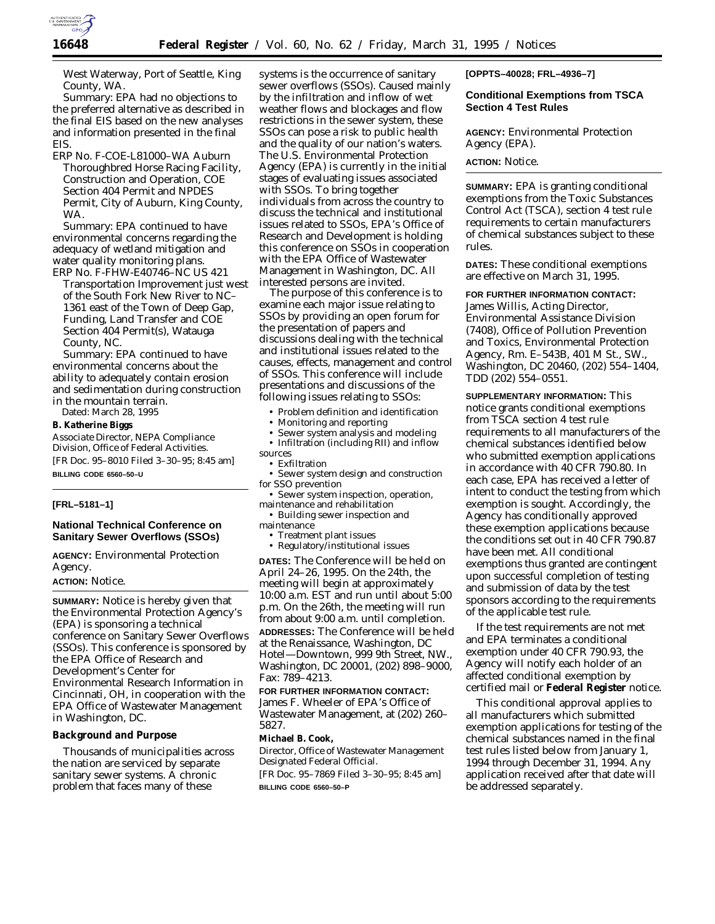

West Waterway, Port of Seattle, King County, WA.

*Summary:* EPA had no objections to the preferred alternative as described in the final EIS based on the new analyses and information presented in the final EIS.

ERP No. F-COE-L81000–WA Auburn Thoroughbred Horse Racing Facility, Construction and Operation, COE Section 404 Permit and NPDES Permit, City of Auburn, King County, WA.

*Summary:* EPA continued to have environmental concerns regarding the adequacy of wetland mitigation and water quality monitoring plans.

ERP No. F-FHW-E40746–NC US 421 Transportation Improvement just west of the South Fork New River to NC– 1361 east of the Town of Deep Gap, Funding, Land Transfer and COE Section 404 Permit(s), Watauga County, NC.

*Summary:* EPA continued to have environmental concerns about the ability to adequately contain erosion and sedimentation during construction in the mountain terrain.

Dated: March 28, 1995

#### **B. Katherine Biggs**

*Associate Director, NEPA Compliance Division, Office of Federal Activities.* [FR Doc. 95–8010 Filed 3–30–95; 8:45 am] **BILLING CODE 6560–50–U**

# **[FRL–5181–1]**

# **National Technical Conference on Sanitary Sewer Overflows (SSOs)**

**AGENCY:** Environmental Protection Agency.

## **ACTION:** Notice.

**SUMMARY:** Notice is hereby given that the Environmental Protection Agency's (EPA) is sponsoring a technical conference on Sanitary Sewer Overflows (SSOs). This conference is sponsored by the EPA Office of Research and Development's Center for Environmental Research Information in Cincinnati, OH, in cooperation with the EPA Office of Wastewater Management in Washington, DC.

### **Background and Purpose**

Thousands of municipalities across the nation are serviced by separate sanitary sewer systems. A chronic problem that faces many of these

systems is the occurrence of sanitary sewer overflows (SSOs). Caused mainly by the infiltration and inflow of wet weather flows and blockages and flow restrictions in the sewer system, these SSOs can pose a risk to public health and the quality of our nation's waters. The U.S. Environmental Protection Agency (EPA) is currently in the initial stages of evaluating issues associated with SSOs. To bring together individuals from across the country to discuss the technical and institutional issues related to SSOs, EPA's Office of Research and Development is holding this conference on SSOs in cooperation with the EPA Office of Wastewater Management in Washington, DC. All interested persons are invited.

The purpose of this conference is to examine each major issue relating to SSOs by providing an open forum for the presentation of papers and discussions dealing with the technical and institutional issues related to the causes, effects, management and control of SSOs. This conference will include presentations and discussions of the following issues relating to SSOs:

- Problem definition and identification
- Monitoring and reporting
- Sewer system analysis and modeling

• Infiltration (including RII) and inflow sources

- Exfiltration
- Sewer system design and construction for SSO prevention
- Sewer system inspection, operation, maintenance and rehabilitation

• Building sewer inspection and

maintenance • Treatment plant issues

• Regulatory/institutional issues

**DATES:** The Conference will be held on April 24–26, 1995. On the 24th, the meeting will begin at approximately 10:00 a.m. EST and run until about 5:00 p.m. On the 26th, the meeting will run from about 9:00 a.m. until completion. **ADDRESSES:** The Conference will be held at the Renaissance, Washington, DC

Hotel—Downtown, 999 9th Street, NW., Washington, DC 20001, (202) 898–9000, Fax: 789–4213.

**FOR FURTHER INFORMATION CONTACT:** James F. Wheeler of EPA's Office of Wastewater Management, at (202) 260– 5827.

#### **Michael B. Cook,**

*Director, Office of Wastewater Management Designated Federal Official.*

[FR Doc. 95–7869 Filed 3–30–95; 8:45 am] **BILLING CODE 6560–50–P**

**[OPPTS–40028; FRL–4936–7]**

**Conditional Exemptions from TSCA Section 4 Test Rules**

**AGENCY:** Environmental Protection Agency (EPA).

## **ACTION:** Notice.

**SUMMARY:** EPA is granting conditional exemptions from the Toxic Substances Control Act (TSCA), section 4 test rule requirements to certain manufacturers of chemical substances subject to these rules.

**DATES:** These conditional exemptions are effective on March 31, 1995.

**FOR FURTHER INFORMATION CONTACT:** James Willis, Acting Director, Environmental Assistance Division (7408), Office of Pollution Prevention and Toxics, Environmental Protection Agency, Rm. E–543B, 401 M St., SW., Washington, DC 20460, (202) 554–1404, TDD (202) 554–0551.

**SUPPLEMENTARY INFORMATION:** This notice grants conditional exemptions from TSCA section 4 test rule requirements to all manufacturers of the chemical substances identified below who submitted exemption applications in accordance with 40 CFR 790.80. In each case, EPA has received a letter of intent to conduct the testing from which exemption is sought. Accordingly, the Agency has conditionally approved these exemption applications because the conditions set out in 40 CFR 790.87 have been met. All conditional exemptions thus granted are contingent upon successful completion of testing and submission of data by the test sponsors according to the requirements of the applicable test rule.

If the test requirements are not met and EPA terminates a conditional exemption under 40 CFR 790.93, the Agency will notify each holder of an affected conditional exemption by certified mail or **Federal Register** notice.

This conditional approval applies to all manufacturers which submitted exemption applications for testing of the chemical substances named in the final test rules listed below from January 1, 1994 through December 31, 1994. Any application received after that date will be addressed separately.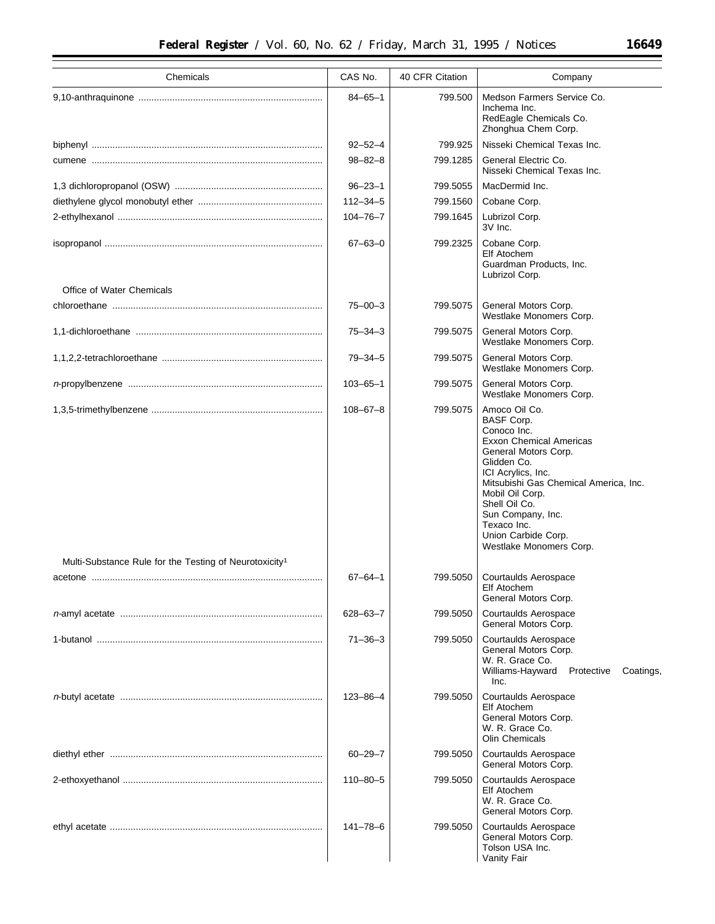|  | KK. |  | 49 |
|--|-----|--|----|
|  |     |  |    |
|  |     |  |    |
|  |     |  |    |

| Chemicals                                                          | CAS No.        | 40 CFR Citation | Company                                                                                                                                                                                                                                                                                                             |  |
|--------------------------------------------------------------------|----------------|-----------------|---------------------------------------------------------------------------------------------------------------------------------------------------------------------------------------------------------------------------------------------------------------------------------------------------------------------|--|
|                                                                    | $84 - 65 - 1$  | 799.500         | Medson Farmers Service Co.<br>Inchema Inc.<br>RedEagle Chemicals Co.<br>Zhonghua Chem Corp.                                                                                                                                                                                                                         |  |
|                                                                    | $92 - 52 - 4$  | 799.925         | Nisseki Chemical Texas Inc.                                                                                                                                                                                                                                                                                         |  |
|                                                                    | $98 - 82 - 8$  | 799.1285        | General Electric Co.<br>Nisseki Chemical Texas Inc.                                                                                                                                                                                                                                                                 |  |
|                                                                    | $96 - 23 - 1$  | 799.5055        | MacDermid Inc.                                                                                                                                                                                                                                                                                                      |  |
|                                                                    | $112 - 34 - 5$ | 799.1560        | Cobane Corp.                                                                                                                                                                                                                                                                                                        |  |
|                                                                    | $104 - 76 - 7$ | 799.1645        | Lubrizol Corp.<br>3V Inc.                                                                                                                                                                                                                                                                                           |  |
|                                                                    | $67 - 63 - 0$  | 799.2325        | Cobane Corp.<br>Elf Atochem<br>Guardman Products, Inc.<br>Lubrizol Corp.                                                                                                                                                                                                                                            |  |
| Office of Water Chemicals                                          |                |                 |                                                                                                                                                                                                                                                                                                                     |  |
|                                                                    | $75 - 00 - 3$  | 799.5075        | General Motors Corp.<br>Westlake Monomers Corp.                                                                                                                                                                                                                                                                     |  |
|                                                                    | $75 - 34 - 3$  | 799.5075        | General Motors Corp.<br>Westlake Monomers Corp.                                                                                                                                                                                                                                                                     |  |
|                                                                    | $79 - 34 - 5$  | 799.5075        | General Motors Corp.<br>Westlake Monomers Corp.                                                                                                                                                                                                                                                                     |  |
|                                                                    | $103 - 65 - 1$ | 799.5075        | General Motors Corp.<br>Westlake Monomers Corp.                                                                                                                                                                                                                                                                     |  |
|                                                                    | $108 - 67 - 8$ | 799.5075        | Amoco Oil Co.<br><b>BASF Corp.</b><br>Conoco Inc.<br><b>Exxon Chemical Americas</b><br>General Motors Corp.<br>Glidden Co.<br>ICI Acrylics, Inc.<br>Mitsubishi Gas Chemical America, Inc.<br>Mobil Oil Corp.<br>Shell Oil Co.<br>Sun Company, Inc.<br>Texaco Inc.<br>Union Carbide Corp.<br>Westlake Monomers Corp. |  |
| Multi-Substance Rule for the Testing of Neurotoxicity <sup>1</sup> |                |                 |                                                                                                                                                                                                                                                                                                                     |  |
|                                                                    | $67 - 64 - 1$  | 799.5050        | <b>Courtaulds Aerospace</b><br>Elf Atochem<br>General Motors Corp.                                                                                                                                                                                                                                                  |  |
|                                                                    | 628-63-7       | 799.5050        | Courtaulds Aerospace<br>General Motors Corp.                                                                                                                                                                                                                                                                        |  |
|                                                                    | $71 - 36 - 3$  | 799.5050        | <b>Courtaulds Aerospace</b><br>General Motors Corp.<br>W. R. Grace Co.<br>Williams-Hayward<br>Coatings,<br>Protective<br>Inc.                                                                                                                                                                                       |  |
|                                                                    | $123 - 86 - 4$ | 799.5050        | Courtaulds Aerospace<br>Elf Atochem<br>General Motors Corp.<br>W. R. Grace Co.<br><b>Olin Chemicals</b>                                                                                                                                                                                                             |  |
|                                                                    | $60 - 29 - 7$  | 799.5050        | <b>Courtaulds Aerospace</b><br>General Motors Corp.                                                                                                                                                                                                                                                                 |  |
|                                                                    | $110 - 80 - 5$ | 799.5050        | Courtaulds Aerospace<br>Elf Atochem<br>W. R. Grace Co.<br>General Motors Corp.                                                                                                                                                                                                                                      |  |
|                                                                    | $141 - 78 - 6$ | 799.5050        | Courtaulds Aerospace<br>General Motors Corp.<br>Tolson USA Inc.<br>Vanity Fair                                                                                                                                                                                                                                      |  |